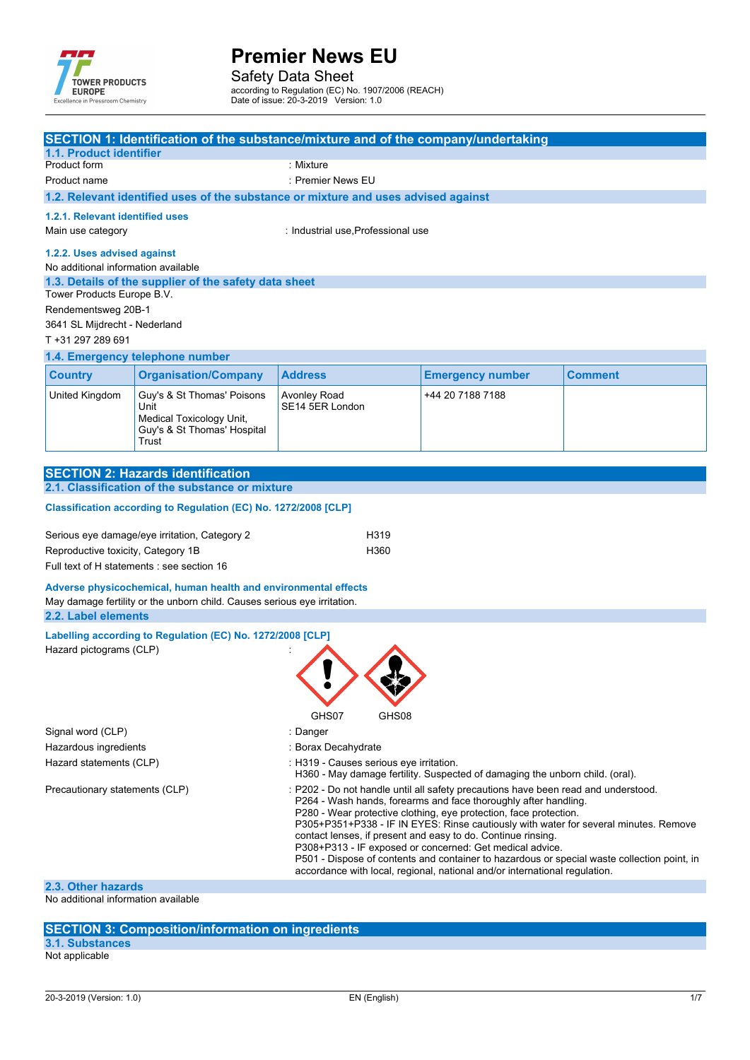

Safety Data Sheet according to Regulation (EC) No. 1907/2006 (REACH) Date of issue: 20-3-2019 Version: 1.0

| <b>1.1. Product identifier</b>                                                                                                                                                                                                                                                                                                                                                                                                                                                                                                                                                                                                                                |                                                                                                                                             | SECTION 1: Identification of the substance/mixture and of the company/undertaking                                       |                         |                |  |
|---------------------------------------------------------------------------------------------------------------------------------------------------------------------------------------------------------------------------------------------------------------------------------------------------------------------------------------------------------------------------------------------------------------------------------------------------------------------------------------------------------------------------------------------------------------------------------------------------------------------------------------------------------------|---------------------------------------------------------------------------------------------------------------------------------------------|-------------------------------------------------------------------------------------------------------------------------|-------------------------|----------------|--|
| Product form                                                                                                                                                                                                                                                                                                                                                                                                                                                                                                                                                                                                                                                  |                                                                                                                                             | : Mixture                                                                                                               |                         |                |  |
| Product name                                                                                                                                                                                                                                                                                                                                                                                                                                                                                                                                                                                                                                                  |                                                                                                                                             | : Premier News EU                                                                                                       |                         |                |  |
|                                                                                                                                                                                                                                                                                                                                                                                                                                                                                                                                                                                                                                                               |                                                                                                                                             | 1.2. Relevant identified uses of the substance or mixture and uses advised against                                      |                         |                |  |
| 1.2.1. Relevant identified uses                                                                                                                                                                                                                                                                                                                                                                                                                                                                                                                                                                                                                               |                                                                                                                                             |                                                                                                                         |                         |                |  |
| Main use category                                                                                                                                                                                                                                                                                                                                                                                                                                                                                                                                                                                                                                             |                                                                                                                                             | : Industrial use, Professional use                                                                                      |                         |                |  |
| 1.2.2. Uses advised against<br>No additional information available<br>Tower Products Europe B.V.                                                                                                                                                                                                                                                                                                                                                                                                                                                                                                                                                              | 1.3. Details of the supplier of the safety data sheet                                                                                       |                                                                                                                         |                         |                |  |
| Rendementsweg 20B-1                                                                                                                                                                                                                                                                                                                                                                                                                                                                                                                                                                                                                                           |                                                                                                                                             |                                                                                                                         |                         |                |  |
| 3641 SL Mijdrecht - Nederland<br>T+31 297 289 691                                                                                                                                                                                                                                                                                                                                                                                                                                                                                                                                                                                                             |                                                                                                                                             |                                                                                                                         |                         |                |  |
|                                                                                                                                                                                                                                                                                                                                                                                                                                                                                                                                                                                                                                                               | 1.4. Emergency telephone number                                                                                                             |                                                                                                                         |                         |                |  |
| <b>Country</b>                                                                                                                                                                                                                                                                                                                                                                                                                                                                                                                                                                                                                                                | <b>Organisation/Company</b>                                                                                                                 | <b>Address</b>                                                                                                          | <b>Emergency number</b> | <b>Comment</b> |  |
| United Kingdom                                                                                                                                                                                                                                                                                                                                                                                                                                                                                                                                                                                                                                                | Guy's & St Thomas' Poisons<br>Unit<br>Medical Toxicology Unit,<br>Guy's & St Thomas' Hospital<br>Trust                                      | Avonley Road<br>SE14 5ER London                                                                                         | +44 20 7188 7188        |                |  |
|                                                                                                                                                                                                                                                                                                                                                                                                                                                                                                                                                                                                                                                               |                                                                                                                                             |                                                                                                                         |                         |                |  |
|                                                                                                                                                                                                                                                                                                                                                                                                                                                                                                                                                                                                                                                               | <b>SECTION 2: Hazards identification</b><br>2.1. Classification of the substance or mixture                                                 |                                                                                                                         |                         |                |  |
|                                                                                                                                                                                                                                                                                                                                                                                                                                                                                                                                                                                                                                                               |                                                                                                                                             |                                                                                                                         |                         |                |  |
|                                                                                                                                                                                                                                                                                                                                                                                                                                                                                                                                                                                                                                                               | Classification according to Regulation (EC) No. 1272/2008 [CLP]                                                                             |                                                                                                                         |                         |                |  |
| Reproductive toxicity, Category 1B                                                                                                                                                                                                                                                                                                                                                                                                                                                                                                                                                                                                                            | Serious eye damage/eye irritation, Category 2<br>Full text of H statements : see section 16                                                 | H319<br>H360                                                                                                            |                         |                |  |
|                                                                                                                                                                                                                                                                                                                                                                                                                                                                                                                                                                                                                                                               |                                                                                                                                             |                                                                                                                         |                         |                |  |
| 2.2. Label elements                                                                                                                                                                                                                                                                                                                                                                                                                                                                                                                                                                                                                                           | Adverse physicochemical, human health and environmental effects<br>May damage fertility or the unborn child. Causes serious eye irritation. |                                                                                                                         |                         |                |  |
| Labelling according to Regulation (EC) No. 1272/2008 [CLP]<br>Hazard pictograms (CLP)                                                                                                                                                                                                                                                                                                                                                                                                                                                                                                                                                                         |                                                                                                                                             |                                                                                                                         |                         |                |  |
| Signal word (CLP)                                                                                                                                                                                                                                                                                                                                                                                                                                                                                                                                                                                                                                             |                                                                                                                                             | GHS07<br>GHS08<br>: Danger                                                                                              |                         |                |  |
| Hazardous ingredients                                                                                                                                                                                                                                                                                                                                                                                                                                                                                                                                                                                                                                         |                                                                                                                                             | : Borax Decahydrate                                                                                                     |                         |                |  |
| Hazard statements (CLP)                                                                                                                                                                                                                                                                                                                                                                                                                                                                                                                                                                                                                                       |                                                                                                                                             | : H319 - Causes serious eye irritation.<br>H360 - May damage fertility. Suspected of damaging the unborn child. (oral). |                         |                |  |
| Precautionary statements (CLP)<br>: P202 - Do not handle until all safety precautions have been read and understood.<br>P264 - Wash hands, forearms and face thoroughly after handling.<br>P280 - Wear protective clothing, eye protection, face protection.<br>P305+P351+P338 - IF IN EYES: Rinse cautiously with water for several minutes. Remove<br>contact lenses, if present and easy to do. Continue rinsing.<br>P308+P313 - IF exposed or concerned: Get medical advice.<br>P501 - Dispose of contents and container to hazardous or special waste collection point, in<br>accordance with local, regional, national and/or international regulation. |                                                                                                                                             |                                                                                                                         |                         |                |  |
| 2.3. Other hazards                                                                                                                                                                                                                                                                                                                                                                                                                                                                                                                                                                                                                                            |                                                                                                                                             |                                                                                                                         |                         |                |  |
| No additional information available                                                                                                                                                                                                                                                                                                                                                                                                                                                                                                                                                                                                                           |                                                                                                                                             |                                                                                                                         |                         |                |  |

#### **SECTION 3: Composition/information on ingredients**

**3.1. Substances** Not applicable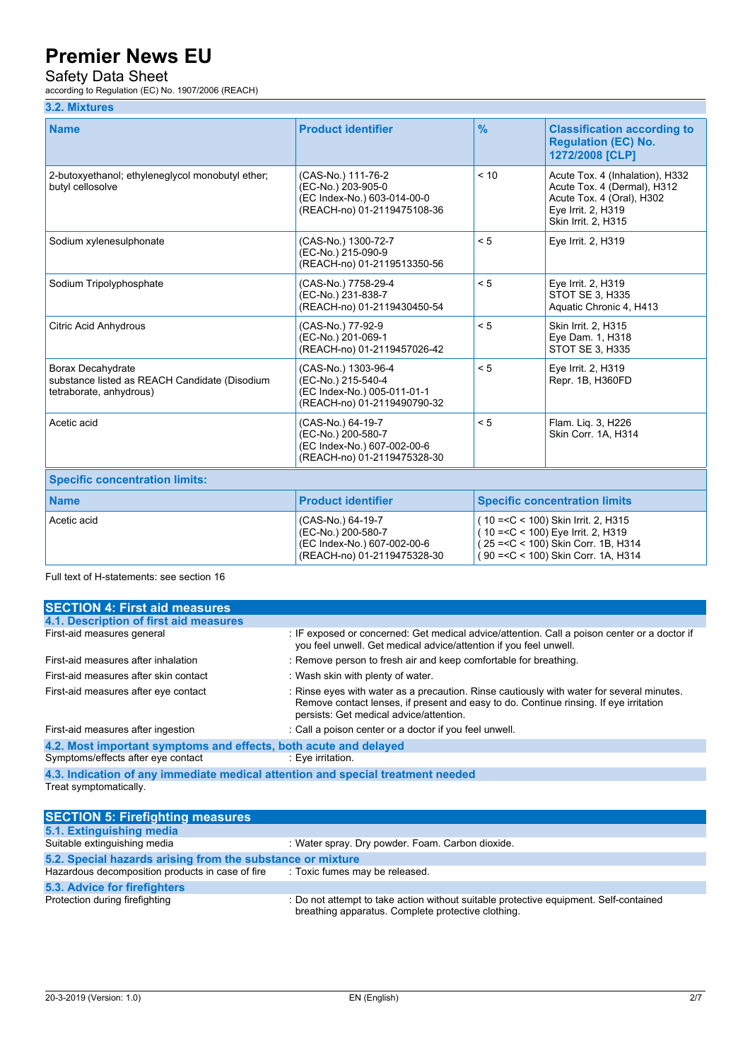### Safety Data Sheet

according to Regulation (EC) No. 1907/2006 (REACH)

#### **3.2. Mixtures**

| <b>Name</b>                                                                                   | <b>Product identifier</b>                                                                               | $\frac{9}{6}$                                                                                                                                               | <b>Classification according to</b><br><b>Regulation (EC) No.</b><br>1272/2008 [CLP]                                                      |  |  |
|-----------------------------------------------------------------------------------------------|---------------------------------------------------------------------------------------------------------|-------------------------------------------------------------------------------------------------------------------------------------------------------------|------------------------------------------------------------------------------------------------------------------------------------------|--|--|
| 2-butoxyethanol; ethyleneglycol monobutyl ether;<br>butyl cellosolve                          | (CAS-No.) 111-76-2<br>(EC-No.) 203-905-0<br>(EC Index-No.) 603-014-00-0<br>(REACH-no) 01-2119475108-36  | < 10                                                                                                                                                        | Acute Tox. 4 (Inhalation), H332<br>Acute Tox. 4 (Dermal), H312<br>Acute Tox. 4 (Oral), H302<br>Eye Irrit. 2, H319<br>Skin Irrit. 2, H315 |  |  |
| Sodium xylenesulphonate                                                                       | (CAS-No.) 1300-72-7<br>(EC-No.) 215-090-9<br>(REACH-no) 01-2119513350-56                                | < 5                                                                                                                                                         | Eye Irrit. 2, H319                                                                                                                       |  |  |
| Sodium Tripolyphosphate                                                                       | (CAS-No.) 7758-29-4<br>(EC-No.) 231-838-7<br>(REACH-no) 01-2119430450-54                                | < 5                                                                                                                                                         | Eye Irrit. 2, H319<br><b>STOT SE 3, H335</b><br>Aquatic Chronic 4, H413                                                                  |  |  |
| Citric Acid Anhydrous                                                                         | (CAS-No.) 77-92-9<br>(EC-No.) 201-069-1<br>(REACH-no) 01-2119457026-42                                  | < 5                                                                                                                                                         | Skin Irrit. 2, H315<br>Eye Dam. 1, H318<br><b>STOT SE 3, H335</b>                                                                        |  |  |
| Borax Decahydrate<br>substance listed as REACH Candidate (Disodium<br>tetraborate, anhydrous) | (CAS-No.) 1303-96-4<br>(EC-No.) 215-540-4<br>(EC Index-No.) 005-011-01-1<br>(REACH-no) 01-2119490790-32 | < 5                                                                                                                                                         | Eye Irrit. 2, H319<br>Repr. 1B, H360FD                                                                                                   |  |  |
| Acetic acid                                                                                   | (CAS-No.) 64-19-7<br>(EC-No.) 200-580-7<br>(EC Index-No.) 607-002-00-6<br>(REACH-no) 01-2119475328-30   | < 5                                                                                                                                                         | Flam. Lig. 3, H226<br>Skin Corr. 1A, H314                                                                                                |  |  |
| <b>Specific concentration limits:</b>                                                         |                                                                                                         |                                                                                                                                                             |                                                                                                                                          |  |  |
| <b>Name</b>                                                                                   | <b>Product identifier</b>                                                                               | <b>Specific concentration limits</b>                                                                                                                        |                                                                                                                                          |  |  |
| Acetic acid                                                                                   | (CAS-No.) 64-19-7<br>(EC-No.) 200-580-7<br>(EC Index-No.) 607-002-00-6<br>(REACH-no) 01-2119475328-30   | (10 = < C < 100) Skin Irrit. 2, H315<br>(10 = < C < 100) Eye Irrit. 2, H319<br>(25 = < C < 100) Skin Corr. 1B, H314<br>(90 = < C < 100) Skin Corr. 1A, H314 |                                                                                                                                          |  |  |

Full text of H-statements: see section 16

| <b>SECTION 4: First aid measures</b>                                            |                                                                                                                                                                                                                               |  |  |  |
|---------------------------------------------------------------------------------|-------------------------------------------------------------------------------------------------------------------------------------------------------------------------------------------------------------------------------|--|--|--|
| 4.1. Description of first aid measures                                          |                                                                                                                                                                                                                               |  |  |  |
| First-aid measures general                                                      | : IF exposed or concerned: Get medical advice/attention. Call a poison center or a doctor if<br>you feel unwell. Get medical advice/attention if you feel unwell.                                                             |  |  |  |
| First-aid measures after inhalation                                             | : Remove person to fresh air and keep comfortable for breathing.                                                                                                                                                              |  |  |  |
| First-aid measures after skin contact                                           | : Wash skin with plenty of water.                                                                                                                                                                                             |  |  |  |
| First-aid measures after eye contact                                            | : Rinse eyes with water as a precaution. Rinse cautiously with water for several minutes.<br>Remove contact lenses, if present and easy to do. Continue rinsing. If eye irritation<br>persists: Get medical advice/attention. |  |  |  |
| First-aid measures after ingestion                                              | : Call a poison center or a doctor if you feel unwell.                                                                                                                                                                        |  |  |  |
| 4.2. Most important symptoms and effects, both acute and delayed                |                                                                                                                                                                                                                               |  |  |  |
| Symptoms/effects after eye contact                                              | : Eye irritation.                                                                                                                                                                                                             |  |  |  |
| 4.3. Indication of any immediate medical attention and special treatment needed |                                                                                                                                                                                                                               |  |  |  |

Treat symptomatically.

| <b>SECTION 5: Firefighting measures</b>                    |                                                                                                                                             |  |  |  |  |
|------------------------------------------------------------|---------------------------------------------------------------------------------------------------------------------------------------------|--|--|--|--|
| 5.1. Extinguishing media                                   |                                                                                                                                             |  |  |  |  |
| Suitable extinguishing media                               | : Water spray. Dry powder. Foam. Carbon dioxide.                                                                                            |  |  |  |  |
| 5.2. Special hazards arising from the substance or mixture |                                                                                                                                             |  |  |  |  |
| Hazardous decomposition products in case of fire           | : Toxic fumes may be released.                                                                                                              |  |  |  |  |
| 5.3. Advice for firefighters                               |                                                                                                                                             |  |  |  |  |
| Protection during firefighting                             | : Do not attempt to take action without suitable protective equipment. Self-contained<br>breathing apparatus. Complete protective clothing. |  |  |  |  |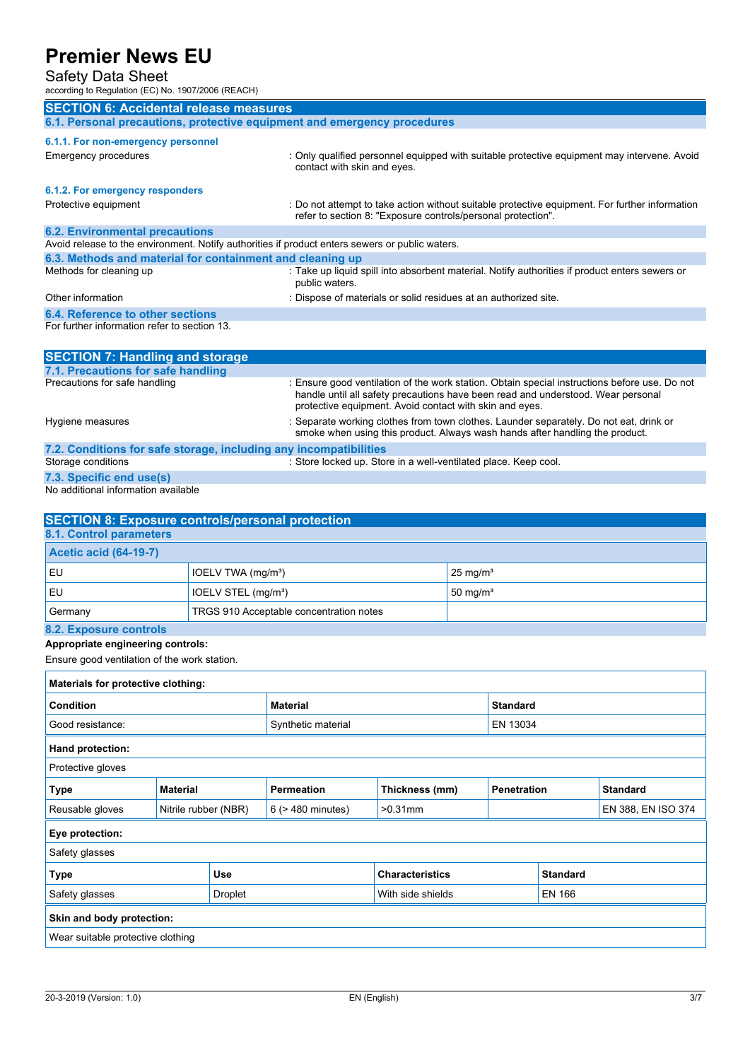### Safety Data Sheet

| Jaich Dala Jilcel<br>according to Regulation (EC) No. 1907/2006 (REACH)                                                                                                                                                   |                      |                                 |                                         |                                                                                                                                                                                                                                              |                        |                                       |  |                                                                                        |
|---------------------------------------------------------------------------------------------------------------------------------------------------------------------------------------------------------------------------|----------------------|---------------------------------|-----------------------------------------|----------------------------------------------------------------------------------------------------------------------------------------------------------------------------------------------------------------------------------------------|------------------------|---------------------------------------|--|----------------------------------------------------------------------------------------|
| <b>SECTION 6: Accidental release measures</b>                                                                                                                                                                             |                      |                                 |                                         |                                                                                                                                                                                                                                              |                        |                                       |  |                                                                                        |
| 6.1. Personal precautions, protective equipment and emergency procedures                                                                                                                                                  |                      |                                 |                                         |                                                                                                                                                                                                                                              |                        |                                       |  |                                                                                        |
| 6.1.1. For non-emergency personnel<br><b>Emergency procedures</b><br>: Only qualified personnel equipped with suitable protective equipment may intervene. Avoid<br>contact with skin and eyes.                           |                      |                                 |                                         |                                                                                                                                                                                                                                              |                        |                                       |  |                                                                                        |
| 6.1.2. For emergency responders<br>: Do not attempt to take action without suitable protective equipment. For further information<br>Protective equipment<br>refer to section 8: "Exposure controls/personal protection". |                      |                                 |                                         |                                                                                                                                                                                                                                              |                        |                                       |  |                                                                                        |
| <b>6.2. Environmental precautions</b><br>Avoid release to the environment. Notify authorities if product enters sewers or public waters.                                                                                  |                      |                                 |                                         |                                                                                                                                                                                                                                              |                        |                                       |  |                                                                                        |
| 6.3. Methods and material for containment and cleaning up                                                                                                                                                                 |                      |                                 |                                         |                                                                                                                                                                                                                                              |                        |                                       |  |                                                                                        |
| Methods for cleaning up                                                                                                                                                                                                   |                      |                                 | public waters.                          | : Take up liquid spill into absorbent material. Notify authorities if product enters sewers or                                                                                                                                               |                        |                                       |  |                                                                                        |
| Other information                                                                                                                                                                                                         |                      |                                 |                                         | : Dispose of materials or solid residues at an authorized site.                                                                                                                                                                              |                        |                                       |  |                                                                                        |
| <b>6.4. Reference to other sections</b><br>For further information refer to section 13.                                                                                                                                   |                      |                                 |                                         |                                                                                                                                                                                                                                              |                        |                                       |  |                                                                                        |
|                                                                                                                                                                                                                           |                      |                                 |                                         |                                                                                                                                                                                                                                              |                        |                                       |  |                                                                                        |
| <b>SECTION 7: Handling and storage</b>                                                                                                                                                                                    |                      |                                 |                                         |                                                                                                                                                                                                                                              |                        |                                       |  |                                                                                        |
| 7.1. Precautions for safe handling<br>Precautions for safe handling                                                                                                                                                       |                      |                                 |                                         | : Ensure good ventilation of the work station. Obtain special instructions before use. Do not<br>handle until all safety precautions have been read and understood. Wear personal<br>protective equipment. Avoid contact with skin and eyes. |                        |                                       |  |                                                                                        |
| Hygiene measures                                                                                                                                                                                                          |                      |                                 |                                         | smoke when using this product. Always wash hands after handling the product.                                                                                                                                                                 |                        |                                       |  | : Separate working clothes from town clothes. Launder separately. Do not eat, drink or |
| 7.2. Conditions for safe storage, including any incompatibilities<br>Storage conditions                                                                                                                                   |                      |                                 |                                         | : Store locked up. Store in a well-ventilated place. Keep cool.                                                                                                                                                                              |                        |                                       |  |                                                                                        |
| 7.3. Specific end use(s)                                                                                                                                                                                                  |                      |                                 |                                         |                                                                                                                                                                                                                                              |                        |                                       |  |                                                                                        |
| No additional information available                                                                                                                                                                                       |                      |                                 |                                         |                                                                                                                                                                                                                                              |                        |                                       |  |                                                                                        |
| <b>SECTION 8: Exposure controls/personal protection</b>                                                                                                                                                                   |                      |                                 |                                         |                                                                                                                                                                                                                                              |                        |                                       |  |                                                                                        |
| <b>8.1. Control parameters</b><br><b>Acetic acid (64-19-7)</b>                                                                                                                                                            |                      |                                 |                                         |                                                                                                                                                                                                                                              |                        |                                       |  |                                                                                        |
| EU                                                                                                                                                                                                                        |                      | IOELV TWA (mg/m <sup>3</sup> )  |                                         |                                                                                                                                                                                                                                              | $25$ mg/m <sup>3</sup> |                                       |  |                                                                                        |
| EU                                                                                                                                                                                                                        |                      | IOELV STEL (mg/m <sup>3</sup> ) |                                         | 50 mg/ $m3$                                                                                                                                                                                                                                  |                        |                                       |  |                                                                                        |
| Germany                                                                                                                                                                                                                   |                      |                                 | TRGS 910 Acceptable concentration notes |                                                                                                                                                                                                                                              |                        |                                       |  |                                                                                        |
| 8.2. Exposure controls                                                                                                                                                                                                    |                      |                                 |                                         |                                                                                                                                                                                                                                              |                        |                                       |  |                                                                                        |
| Appropriate engineering controls:<br>Ensure good ventilation of the work station.                                                                                                                                         |                      |                                 |                                         |                                                                                                                                                                                                                                              |                        |                                       |  |                                                                                        |
| Materials for protective clothing:                                                                                                                                                                                        |                      |                                 |                                         |                                                                                                                                                                                                                                              |                        |                                       |  |                                                                                        |
| Condition                                                                                                                                                                                                                 |                      |                                 | <b>Material</b>                         |                                                                                                                                                                                                                                              |                        | <b>Standard</b>                       |  |                                                                                        |
| Good resistance:                                                                                                                                                                                                          |                      |                                 | Synthetic material                      |                                                                                                                                                                                                                                              |                        | EN 13034                              |  |                                                                                        |
| Hand protection:                                                                                                                                                                                                          |                      |                                 |                                         |                                                                                                                                                                                                                                              |                        |                                       |  |                                                                                        |
| Protective gloves                                                                                                                                                                                                         |                      |                                 |                                         |                                                                                                                                                                                                                                              |                        |                                       |  |                                                                                        |
| <b>Type</b>                                                                                                                                                                                                               | <b>Material</b>      |                                 | <b>Permeation</b>                       | Thickness (mm)                                                                                                                                                                                                                               |                        | <b>Standard</b><br><b>Penetration</b> |  |                                                                                        |
| Reusable gloves                                                                                                                                                                                                           | Nitrile rubber (NBR) |                                 | $6$ ( $>$ 480 minutes)                  | $>0.31$ mm                                                                                                                                                                                                                                   |                        | EN 388, EN ISO 374                    |  |                                                                                        |
| Eye protection:                                                                                                                                                                                                           |                      |                                 |                                         |                                                                                                                                                                                                                                              |                        |                                       |  |                                                                                        |
| Safety glasses                                                                                                                                                                                                            |                      |                                 |                                         |                                                                                                                                                                                                                                              |                        |                                       |  |                                                                                        |
| Use<br><b>Type</b>                                                                                                                                                                                                        |                      |                                 | <b>Characteristics</b>                  |                                                                                                                                                                                                                                              | <b>Standard</b>        |                                       |  |                                                                                        |
| Safety glasses<br>Droplet                                                                                                                                                                                                 |                      |                                 | EN 166<br>With side shields             |                                                                                                                                                                                                                                              |                        |                                       |  |                                                                                        |
| Skin and body protection:                                                                                                                                                                                                 |                      |                                 |                                         |                                                                                                                                                                                                                                              |                        |                                       |  |                                                                                        |
| Wear suitable protective clothing                                                                                                                                                                                         |                      |                                 |                                         |                                                                                                                                                                                                                                              |                        |                                       |  |                                                                                        |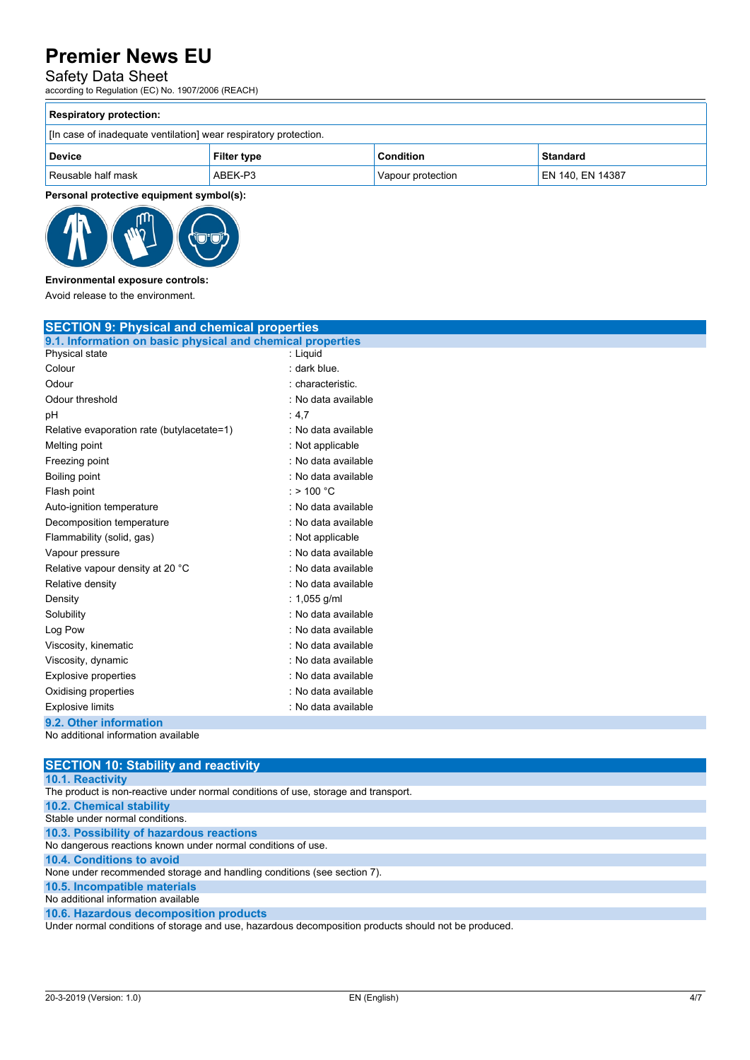### Safety Data Sheet

according to Regulation (EC) No. 1907/2006 (REACH)

| <b>Respiratory protection:</b>                                   |                    |                   |                  |  |  |  |
|------------------------------------------------------------------|--------------------|-------------------|------------------|--|--|--|
| [In case of inadequate ventilation] wear respiratory protection. |                    |                   |                  |  |  |  |
| <b>Device</b>                                                    | <b>Filter type</b> | <b>Condition</b>  | <b>Standard</b>  |  |  |  |
| Reusable half mask                                               | ABEK-P3            | Vapour protection | EN 140, EN 14387 |  |  |  |

**Personal protective equipment symbol(s):**



**Environmental exposure controls:**

Avoid release to the environment.

| <b>SECTION 9: Physical and chemical properties</b>            |                     |  |  |  |
|---------------------------------------------------------------|---------------------|--|--|--|
| 9.1. Information on basic physical and chemical properties    |                     |  |  |  |
| Physical state                                                | : Liquid            |  |  |  |
| Colour                                                        | : dark blue.        |  |  |  |
| Odour                                                         | : characteristic.   |  |  |  |
| Odour threshold                                               | : No data available |  |  |  |
| рH                                                            | : 4.7               |  |  |  |
| Relative evaporation rate (butylacetate=1)                    | : No data available |  |  |  |
| Melting point                                                 | : Not applicable    |  |  |  |
| Freezing point                                                | : No data available |  |  |  |
| Boiling point                                                 | : No data available |  |  |  |
| Flash point                                                   | $:$ > 100 °C        |  |  |  |
| Auto-ignition temperature                                     | : No data available |  |  |  |
| Decomposition temperature                                     | : No data available |  |  |  |
| Flammability (solid, gas)                                     | : Not applicable    |  |  |  |
| Vapour pressure                                               | : No data available |  |  |  |
| Relative vapour density at 20 °C                              | : No data available |  |  |  |
| Relative density                                              | : No data available |  |  |  |
| Density                                                       | : 1,055 g/ml        |  |  |  |
| Solubility                                                    | : No data available |  |  |  |
| Log Pow                                                       | : No data available |  |  |  |
| Viscosity, kinematic                                          | : No data available |  |  |  |
| Viscosity, dynamic                                            | : No data available |  |  |  |
| Explosive properties                                          | : No data available |  |  |  |
| Oxidising properties                                          | : No data available |  |  |  |
| <b>Explosive limits</b>                                       | : No data available |  |  |  |
| 9.2. Other information<br>No additional information quailable |                     |  |  |  |

No additional information available

| <b>SECTION 10: Stability and reactivity</b>                                                          |
|------------------------------------------------------------------------------------------------------|
| <b>10.1. Reactivity</b>                                                                              |
| The product is non-reactive under normal conditions of use, storage and transport.                   |
| <b>10.2. Chemical stability</b>                                                                      |
| Stable under normal conditions.                                                                      |
| 10.3. Possibility of hazardous reactions                                                             |
| No dangerous reactions known under normal conditions of use.                                         |
| 10.4. Conditions to avoid                                                                            |
| None under recommended storage and handling conditions (see section 7).                              |
| 10.5. Incompatible materials                                                                         |
| No additional information available                                                                  |
| 10.6. Hazardous decomposition products                                                               |
| Under normal conditions of storage and use, hazardous decomposition products should not be produced. |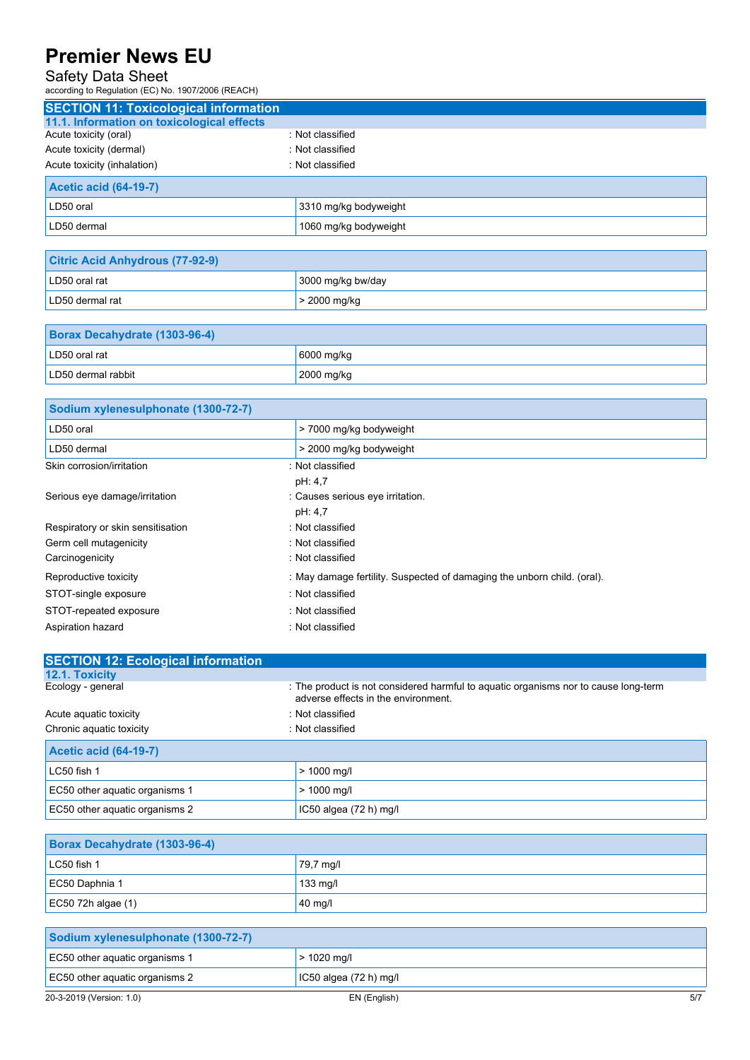### Safety Data Sheet

according to Regulation (EC) No. 1907/2006 (REACH)

Aspiration hazard **in the set of the set of the set of the set of the set of the set of the set of the set of the set of the set of the set of the set of the set of the set of the set of the set of the set of the set of th** 

| <b>SECTION 11: Toxicological information</b> |                                                                         |
|----------------------------------------------|-------------------------------------------------------------------------|
| 11.1. Information on toxicological effects   |                                                                         |
| Acute toxicity (oral)                        | : Not classified                                                        |
| Acute toxicity (dermal)                      | : Not classified                                                        |
| Acute toxicity (inhalation)                  | : Not classified                                                        |
| <b>Acetic acid (64-19-7)</b>                 |                                                                         |
| LD50 oral                                    | 3310 mg/kg bodyweight                                                   |
| LD50 dermal                                  | 1060 mg/kg bodyweight                                                   |
|                                              |                                                                         |
| <b>Citric Acid Anhydrous (77-92-9)</b>       |                                                                         |
| LD50 oral rat                                | 3000 mg/kg bw/day                                                       |
| LD50 dermal rat                              | > 2000 mg/kg                                                            |
|                                              |                                                                         |
| Borax Decahydrate (1303-96-4)                |                                                                         |
| LD50 oral rat                                | 6000 mg/kg                                                              |
| LD50 dermal rabbit                           | 2000 mg/kg                                                              |
|                                              |                                                                         |
| Sodium xylenesulphonate (1300-72-7)          |                                                                         |
| LD50 oral                                    | > 7000 mg/kg bodyweight                                                 |
| LD50 dermal                                  | > 2000 mg/kg bodyweight                                                 |
| Skin corrosion/irritation                    | : Not classified                                                        |
|                                              | pH: 4,7                                                                 |
| Serious eye damage/irritation                | : Causes serious eye irritation.                                        |
|                                              | pH: 4,7                                                                 |
| Respiratory or skin sensitisation            | : Not classified                                                        |
| Germ cell mutagenicity                       | : Not classified                                                        |
| Carcinogenicity                              | : Not classified                                                        |
| Reproductive toxicity                        | : May damage fertility. Suspected of damaging the unborn child. (oral). |
| STOT-single exposure                         | : Not classified                                                        |
| STOT-repeated exposure                       | : Not classified                                                        |

| <b>SECTION 12: Ecological information</b> |                                                                                                                            |
|-------------------------------------------|----------------------------------------------------------------------------------------------------------------------------|
| 12.1. Toxicity                            |                                                                                                                            |
| Ecology - general                         | : The product is not considered harmful to aquatic organisms nor to cause long-term<br>adverse effects in the environment. |
| Acute aquatic toxicity                    | : Not classified                                                                                                           |
| Chronic aquatic toxicity                  | : Not classified                                                                                                           |
| <b>Acetic acid (64-19-7)</b>              |                                                                                                                            |
| LC50 fish 1                               | $> 1000$ mg/l                                                                                                              |
| EC50 other aquatic organisms 1            | $> 1000$ mg/l                                                                                                              |
| EC50 other aguatic organisms 2            | $IC50$ algea $(72 h)$ mg/l                                                                                                 |

| Borax Decahydrate (1303-96-4) |                    |  |  |
|-------------------------------|--------------------|--|--|
| $LC50$ fish 1                 | 79,7 mg/l          |  |  |
| EC50 Daphnia 1                | $133 \text{ mq/l}$ |  |  |
| EC50 72h algae $(1)$          | 40 mg/l            |  |  |

| Sodium xylenesulphonate (1300-72-7) |                        |     |  |
|-------------------------------------|------------------------|-----|--|
| EC50 other aguatic organisms 1      | $>$ 1020 mg/l          |     |  |
| EC50 other aguatic organisms 2      | IC50 algea (72 h) mg/l |     |  |
| 20-3-2019 (Version: 1.0)            | EN (English)           | 5/7 |  |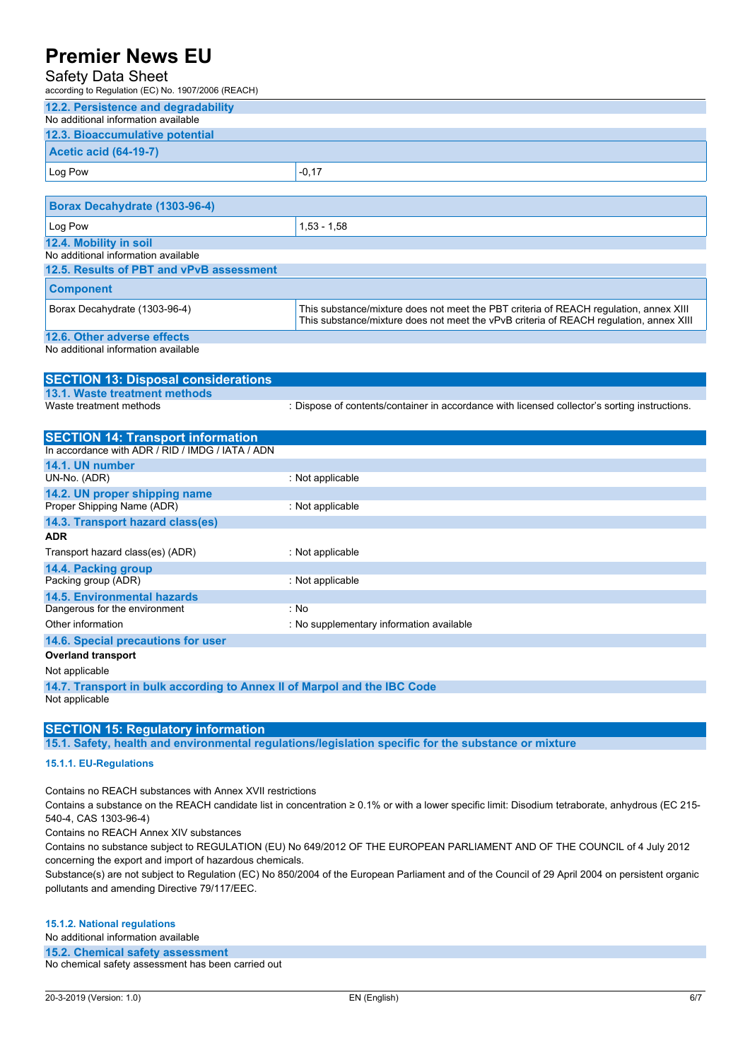### Safety Data Sheet

| Safety Data Sheet<br>according to Regulation (EC) No. 1907/2006 (REACH)                                                                                                                                                                                                                                                                                                              |                                                                                                                                                                                 |
|--------------------------------------------------------------------------------------------------------------------------------------------------------------------------------------------------------------------------------------------------------------------------------------------------------------------------------------------------------------------------------------|---------------------------------------------------------------------------------------------------------------------------------------------------------------------------------|
| 12.2. Persistence and degradability                                                                                                                                                                                                                                                                                                                                                  |                                                                                                                                                                                 |
| No additional information available                                                                                                                                                                                                                                                                                                                                                  |                                                                                                                                                                                 |
| 12.3. Bioaccumulative potential                                                                                                                                                                                                                                                                                                                                                      |                                                                                                                                                                                 |
| <b>Acetic acid (64-19-7)</b>                                                                                                                                                                                                                                                                                                                                                         |                                                                                                                                                                                 |
| Log Pow                                                                                                                                                                                                                                                                                                                                                                              | $-0,17$                                                                                                                                                                         |
|                                                                                                                                                                                                                                                                                                                                                                                      |                                                                                                                                                                                 |
| Borax Decahydrate (1303-96-4)                                                                                                                                                                                                                                                                                                                                                        |                                                                                                                                                                                 |
| Log Pow                                                                                                                                                                                                                                                                                                                                                                              | $1,53 - 1,58$                                                                                                                                                                   |
| 12.4. Mobility in soil                                                                                                                                                                                                                                                                                                                                                               |                                                                                                                                                                                 |
| No additional information available                                                                                                                                                                                                                                                                                                                                                  |                                                                                                                                                                                 |
| 12.5. Results of PBT and vPvB assessment                                                                                                                                                                                                                                                                                                                                             |                                                                                                                                                                                 |
| <b>Component</b>                                                                                                                                                                                                                                                                                                                                                                     |                                                                                                                                                                                 |
| Borax Decahydrate (1303-96-4)                                                                                                                                                                                                                                                                                                                                                        | This substance/mixture does not meet the PBT criteria of REACH regulation, annex XIII<br>This substance/mixture does not meet the vPvB criteria of REACH regulation, annex XIII |
| 12.6. Other adverse effects                                                                                                                                                                                                                                                                                                                                                          |                                                                                                                                                                                 |
| No additional information available                                                                                                                                                                                                                                                                                                                                                  |                                                                                                                                                                                 |
| $\overline{O}$ $\overline{O}$ $\overline{O}$ $\overline{O}$ $\overline{O}$ $\overline{O}$ $\overline{O}$ $\overline{O}$ $\overline{O}$ $\overline{O}$ $\overline{O}$ $\overline{O}$ $\overline{O}$ $\overline{O}$ $\overline{O}$ $\overline{O}$ $\overline{O}$ $\overline{O}$ $\overline{O}$ $\overline{O}$ $\overline{O}$ $\overline{O}$ $\overline{O}$ $\overline{O}$ $\overline{$ |                                                                                                                                                                                 |

### **SECTION 13: Disposal considerations 13.1. Waste treatment methods** : Dispose of contents/container in accordance with licensed collector's sorting instructions.

| <b>SECTION 14: Transport information</b>                                 |                                          |
|--------------------------------------------------------------------------|------------------------------------------|
| In accordance with ADR / RID / IMDG / IATA / ADN                         |                                          |
| 14.1. UN number                                                          |                                          |
| UN-No. (ADR)                                                             | : Not applicable                         |
| 14.2. UN proper shipping name                                            |                                          |
| Proper Shipping Name (ADR)                                               | : Not applicable                         |
| 14.3. Transport hazard class(es)                                         |                                          |
| <b>ADR</b>                                                               |                                          |
| Transport hazard class(es) (ADR)                                         | : Not applicable                         |
| 14.4. Packing group                                                      |                                          |
| Packing group (ADR)                                                      | : Not applicable                         |
| 14.5. Environmental hazards                                              |                                          |
| Dangerous for the environment                                            | : No                                     |
| Other information                                                        | : No supplementary information available |
| 14.6. Special precautions for user                                       |                                          |
| <b>Overland transport</b>                                                |                                          |
| Not applicable                                                           |                                          |
| 14.7. Transport in bulk according to Annex II of Marpol and the IBC Code |                                          |
| Not applicable                                                           |                                          |

#### **SECTION 15: Regulatory information**

**15.1. Safety, health and environmental regulations/legislation specific for the substance or mixture**

#### **15.1.1. EU-Regulations**

Contains no REACH substances with Annex XVII restrictions

Contains a substance on the REACH candidate list in concentration ≥ 0.1% or with a lower specific limit: Disodium tetraborate, anhydrous (EC 215- 540-4, CAS 1303-96-4)

Contains no REACH Annex XIV substances

Contains no substance subject to REGULATION (EU) No 649/2012 OF THE EUROPEAN PARLIAMENT AND OF THE COUNCIL of 4 July 2012 concerning the export and import of hazardous chemicals.

Substance(s) are not subject to Regulation (EC) No 850/2004 of the European Parliament and of the Council of 29 April 2004 on persistent organic pollutants and amending Directive 79/117/EEC.

#### **15.1.2. National regulations**

No additional information available

**15.2. Chemical safety assessment**

No chemical safety assessment has been carried out